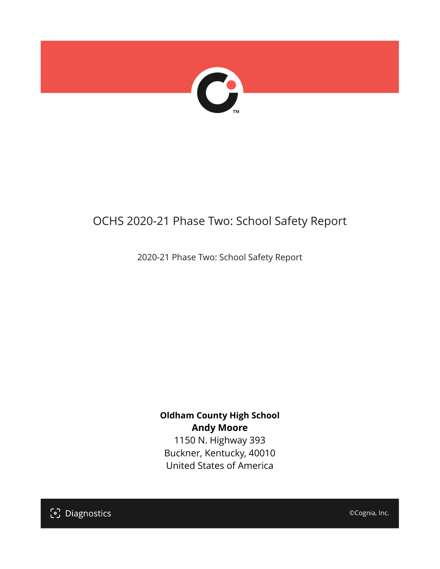

## OCHS 2020-21 Phase Two: School Safety Report

2020-21 Phase Two: School Safety Report

#### **Oldham County High School Andy Moore**

1150 N. Highway 393 Buckner, Kentucky, 40010 United States of America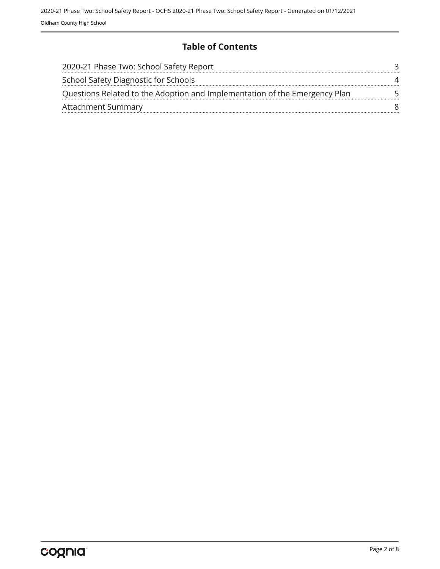#### **Table of Contents**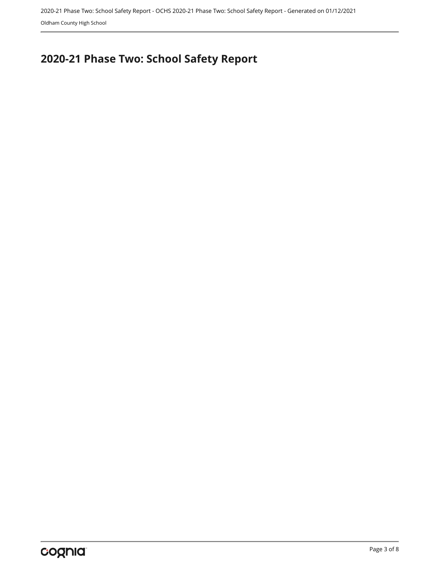# <span id="page-2-0"></span>**2020-21 Phase Two: School Safety Report**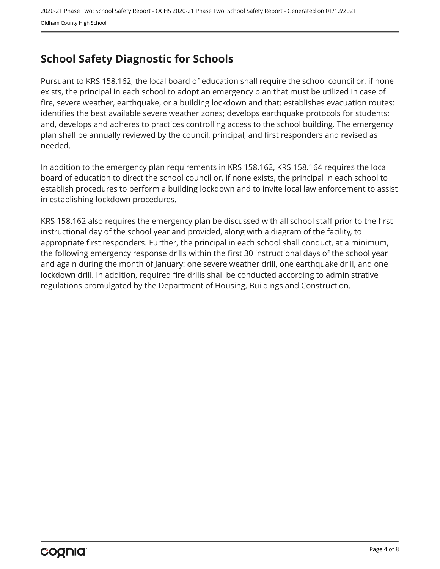## <span id="page-3-0"></span>**School Safety Diagnostic for Schools**

Pursuant to KRS 158.162, the local board of education shall require the school council or, if none exists, the principal in each school to adopt an emergency plan that must be utilized in case of fire, severe weather, earthquake, or a building lockdown and that: establishes evacuation routes; identifies the best available severe weather zones; develops earthquake protocols for students; and, develops and adheres to practices controlling access to the school building. The emergency plan shall be annually reviewed by the council, principal, and first responders and revised as needed.

In addition to the emergency plan requirements in KRS 158.162, KRS 158.164 requires the local board of education to direct the school council or, if none exists, the principal in each school to establish procedures to perform a building lockdown and to invite local law enforcement to assist in establishing lockdown procedures.

KRS 158.162 also requires the emergency plan be discussed with all school staff prior to the first instructional day of the school year and provided, along with a diagram of the facility, to appropriate first responders. Further, the principal in each school shall conduct, at a minimum, the following emergency response drills within the first 30 instructional days of the school year and again during the month of January: one severe weather drill, one earthquake drill, and one lockdown drill. In addition, required fire drills shall be conducted according to administrative regulations promulgated by the Department of Housing, Buildings and Construction.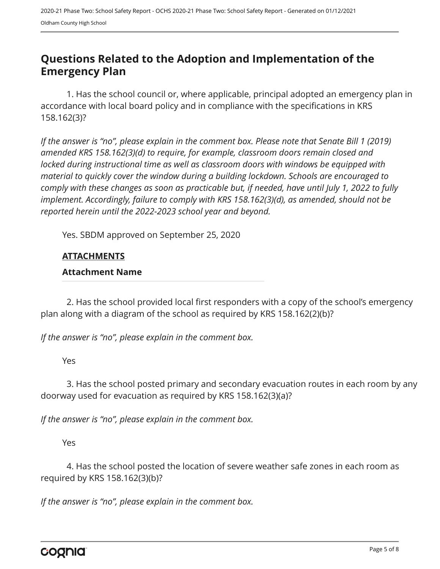### <span id="page-4-0"></span>**Questions Related to the Adoption and Implementation of the Emergency Plan**

1. Has the school council or, where applicable, principal adopted an emergency plan in accordance with local board policy and in compliance with the specifications in KRS 158.162(3)?

*If the answer is "no", please explain in the comment box. Please note that Senate Bill 1 (2019) amended KRS 158.162(3)(d) to require, for example, classroom doors remain closed and locked during instructional time as well as classroom doors with windows be equipped with material to quickly cover the window during a building lockdown. Schools are encouraged to comply with these changes as soon as practicable but, if needed, have until July 1, 2022 to fully implement. Accordingly, failure to comply with KRS 158.162(3)(d), as amended, should not be reported herein until the 2022-2023 school year and beyond.*

Yes. SBDM approved on September 25, 2020

#### **ATTACHMENTS**

#### **Attachment Name**

2. Has the school provided local first responders with a copy of the school's emergency plan along with a diagram of the school as required by KRS 158.162(2)(b)?

*If the answer is "no", please explain in the comment box.*

Yes

3. Has the school posted primary and secondary evacuation routes in each room by any doorway used for evacuation as required by KRS 158.162(3)(a)?

*If the answer is "no", please explain in the comment box.*

Yes

4. Has the school posted the location of severe weather safe zones in each room as required by KRS 158.162(3)(b)?

*If the answer is "no", please explain in the comment box.*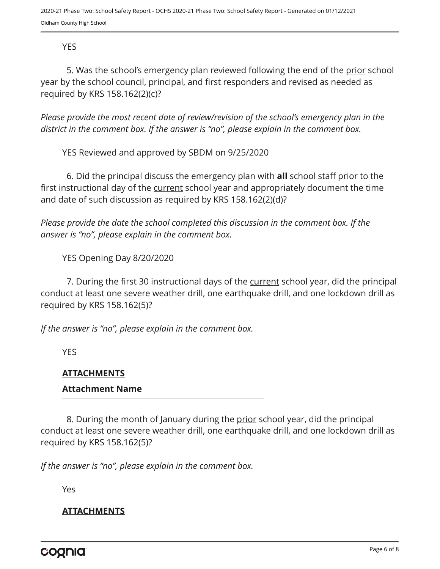#### YES

5. Was the school's emergency plan reviewed following the end of the prior school year by the school council, principal, and first responders and revised as needed as required by KRS 158.162(2)(c)?

*Please provide the most recent date of review/revision of the school's emergency plan in the district in the comment box. If the answer is "no", please explain in the comment box.* 

YES Reviewed and approved by SBDM on 9/25/2020

6. Did the principal discuss the emergency plan with **all** school staff prior to the first instructional day of the current school year and appropriately document the time and date of such discussion as required by KRS 158.162(2)(d)?

*Please provide the date the school completed this discussion in the comment box. If the answer is "no", please explain in the comment box.*

YES Opening Day 8/20/2020

7. During the first 30 instructional days of the current school year, did the principal conduct at least one severe weather drill, one earthquake drill, and one lockdown drill as required by KRS 158.162(5)?

*If the answer is "no", please explain in the comment box.*

**YES** 

#### **ATTACHMENTS**

#### **Attachment Name**

8. During the month of January during the prior school year, did the principal conduct at least one severe weather drill, one earthquake drill, and one lockdown drill as required by KRS 158.162(5)?

*If the answer is "no", please explain in the comment box.*

Yes

#### **ATTACHMENTS**

cognia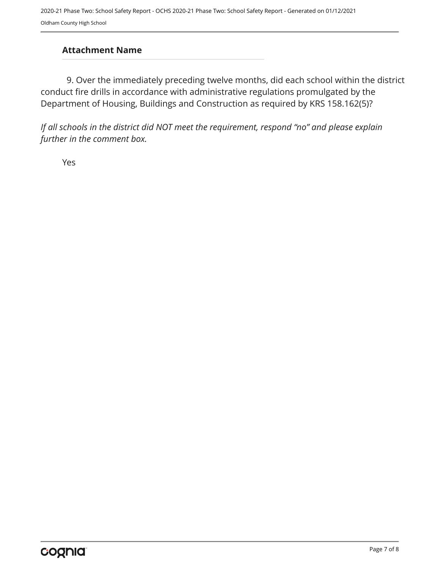#### **Attachment Name**

9. Over the immediately preceding twelve months, did each school within the district conduct fire drills in accordance with administrative regulations promulgated by the Department of Housing, Buildings and Construction as required by KRS 158.162(5)?

*If all schools in the district did NOT meet the requirement, respond "no" and please explain further in the comment box.* 

Yes